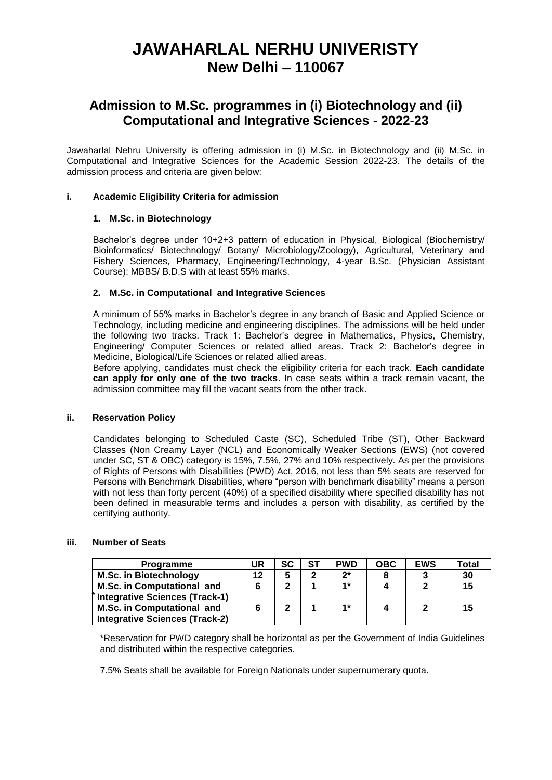# **JAWAHARLAL NERHU UNIVERISTY New Delhi – 110067**

### **Admission to M.Sc. programmes in (i) Biotechnology and (ii) Computational and Integrative Sciences - 2022-23**

Jawaharlal Nehru University is offering admission in (i) M.Sc. in Biotechnology and (ii) M.Sc. in Computational and Integrative Sciences for the Academic Session 2022-23. The details of the admission process and criteria are given below:

#### **i. Academic Eligibility Criteria for admission**

#### **1. M.Sc. in Biotechnology**

Bachelor's degree under 10+2+3 pattern of education in Physical, Biological (Biochemistry/ Bioinformatics/ Biotechnology/ Botany/ Microbiology/Zoology), Agricultural, Veterinary and Fishery Sciences, Pharmacy, Engineering/Technology, 4-year B.Sc. (Physician Assistant Course); MBBS/ B.D.S with at least 55% marks.

#### **2. M.Sc. in Computational and Integrative Sciences**

A minimum of 55% marks in Bachelor's degree in any branch of Basic and Applied Science or Technology, including medicine and engineering disciplines. The admissions will be held under the following two tracks. Track 1: Bachelor's degree in Mathematics, Physics, Chemistry, Engineering/ Computer Sciences or related allied areas. Track 2: Bachelor's degree in Medicine, Biological/Life Sciences or related allied areas.

Before applying, candidates must check the eligibility criteria for each track. **Each candidate can apply for only one of the two tracks**. In case seats within a track remain vacant, the admission committee may fill the vacant seats from the other track.

#### **ii. Reservation Policy**

Candidates belonging to Scheduled Caste (SC), Scheduled Tribe (ST), Other Backward Classes (Non Creamy Layer (NCL) and Economically Weaker Sections (EWS) (not covered under SC, ST & OBC) category is 15%, 7.5%, 27% and 10% respectively. As per the provisions of Rights of Persons with Disabilities (PWD) Act, 2016, not less than 5% seats are reserved for Persons with Benchmark Disabilities, where "person with benchmark disability" means a person with not less than forty percent (40%) of a specified disability where specified disability has not been defined in measurable terms and includes a person with disability, as certified by the certifying authority.

#### **iii. Number of Seats**

| <b>Programme</b>                      | UR | SC | ST | <b>PWD</b> | <b>OBC</b> | <b>EWS</b> | Total |
|---------------------------------------|----|----|----|------------|------------|------------|-------|
| <b>M.Sc. in Biotechnology</b>         |    |    | ≏  | $2^*$      |            |            | 30    |
| M.Sc. in Computational and            |    | ີ  |    | $1*$       |            |            | 15    |
| <b>Integrative Sciences (Track-1)</b> |    |    |    |            |            |            |       |
| M.Sc. in Computational and            |    |    |    | $1*$       |            |            | 15    |
| <b>Integrative Sciences (Track-2)</b> |    |    |    |            |            |            |       |

\*Reservation for PWD category shall be horizontal as per the Government of India Guidelines and distributed within the respective categories.

7.5% Seats shall be available for Foreign Nationals under supernumerary quota.